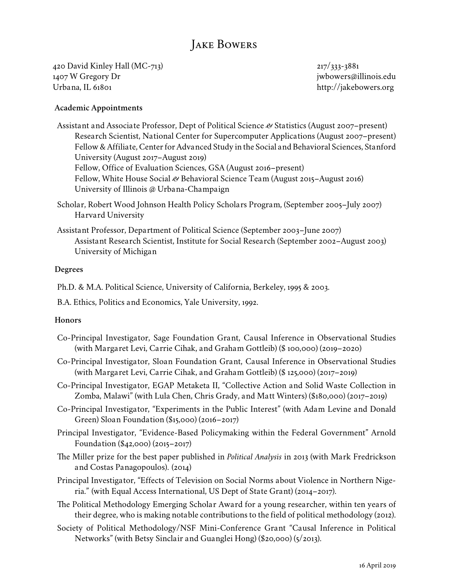# Jake Bowers

420 David Kinley Hall (MC-713) 1407 W Gregory Dr Urbana, IL 61801

217/333-3881 [jwbowers@illinois.edu](mailto:jwbowers@illinois.edu) <http://jakebowers.org>

#### **Academic Appointments**

Assistant and Associate Professor, Dept of Political Science *&* Statistics (August 2007–present) Research Scientist, National Center for Supercomputer Applications (August 2007–present) Fellow & Affiliate, Center for Advanced Study in the Social and Behavioral Sciences, Stanford University (August 2017–August 2019) Fellow, Office of Evaluation Sciences, GSA (August 2016–present) Fellow, White House Social *&* Behavioral Science Team (August 2015–August 2016) University of Illinois @ Urbana-Champaign

- Scholar, Robert Wood Johnson Health Policy Scholars Program, (September 2005–July 2007) Harvard University
- Assistant Professor, Department of Political Science (September 2003–June 2007) Assistant Research Scientist, Institute for Social Research (September 2002–August 2003) University of Michigan

#### **Degrees**

Ph.D. & M.A. Political Science, University of California, Berkeley, 1995 & 2003.

B.A. Ethics, Politics and Economics, Yale University, 1992.

#### **Honors**

- Co-Principal Investigator, Sage Foundation Grant, Causal Inference in Observational Studies (with Margaret Levi, Carrie Cihak, and Graham Gottleib) (\$ 100,000) (2019–2020)
- Co-Principal Investigator, Sloan Foundation Grant, Causal Inference in Observational Studies (with Margaret Levi, Carrie Cihak, and Graham Gottleib) (\$ 125,000) (2017–2019)
- Co-Principal Investigator, EGAP Metaketa II, "Collective Action and Solid Waste Collection in Zomba, Malawi" (with Lula Chen, Chris Grady, and Matt Winters) (\$180,000) (2017–2019)
- Co-Principal Investigator, "Experiments in the Public Interest" (with Adam Levine and Donald Green) Sloan Foundation (\$15,000) (2016–2017)
- Principal Investigator, "Evidence-Based Policymaking within the Federal Government" Arnold Foundation (\$42,000) (2015–2017)
- The Miller prize for the best paper published in *Political Analysis* in 2013 (with Mark Fredrickson and Costas Panagopoulos). (2014)
- Principal Investigator, "Effects of Television on Social Norms about Violence in Northern Nigeria." (with Equal Access International, US Dept of State Grant) (2014–2017).
- The Political Methodology Emerging Scholar Award for a young researcher, within ten years of their degree, who is making notable contributions to the field of political methodology (2012).
- Society of Political Methodology/NSF Mini-Conference Grant "Causal Inference in Political Networks" (with Betsy Sinclair and Guanglei Hong) (\$20,000) (5/2013).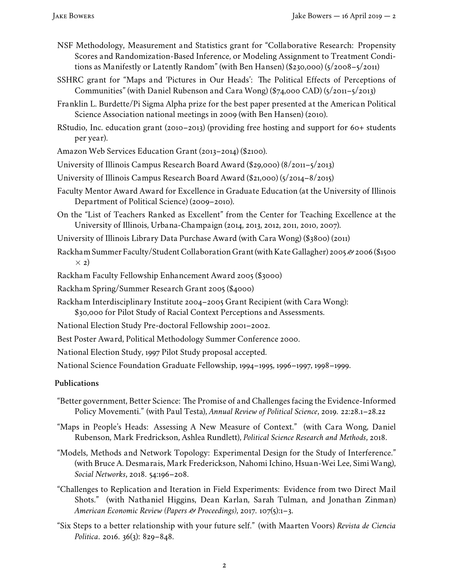- NSF Methodology, Measurement and Statistics grant for "Collaborative Research: Propensity Scores and Randomization-Based Inference, or Modeling Assignment to Treatment Conditions as Manifestly or Latently Random" (with Ben Hansen) (\$230,000) (5/2008–5/2011)
- SSHRC grant for "Maps and 'Pictures in Our Heads': The Political Effects of Perceptions of Communities" (with Daniel Rubenson and Cara Wong) (\$74,000 CAD) (5/2011–5/2013)
- Franklin L. Burdette/Pi Sigma Alpha prize for the best paper presented at the American Political Science Association national meetings in 2009 (with Ben Hansen) (2010).
- RStudio, Inc. education grant (2010–2013) (providing free hosting and support for 60+ students per year).
- Amazon Web Services Education Grant (2013–2014) (\$2100).
- University of Illinois Campus Research Board Award (\$29,000) (8/2011–5/2013)
- University of Illinois Campus Research Board Award (\$21,000) (5/2014–8/2015)
- Faculty Mentor Award Award for Excellence in Graduate Education (at the University of Illinois Department of Political Science) (2009–2010).
- On the "List of Teachers Ranked as Excellent" from the Center for Teaching Excellence at the University of Illinois, Urbana-Champaign (2014, 2013, 2012, 2011, 2010, 2007).
- University of Illinois Library Data Purchase Award (with Cara Wong) (\$3800) (2011)
- Rackham Summer Faculty/Student Collaboration Grant (with Kate Gallagher) 2005*&*2006 (\$1500 *×* 2)
- Rackham Faculty Fellowship Enhancement Award 2005 (\$3000)
- Rackham Spring/Summer Research Grant 2005 (\$4000)
- Rackham Interdisciplinary Institute 2004–2005 Grant Recipient (with Cara Wong): \$30,000 for Pilot Study of Racial Context Perceptions and Assessments.
- 
- National Election Study Pre-doctoral Fellowship 2001–2002.
- Best Poster Award, Political Methodology Summer Conference 2000.
- National Election Study, 1997 Pilot Study proposal accepted.

National Science Foundation Graduate Fellowship, 1994–1995, 1996–1997, 1998–1999.

## **Publications**

- "Better government, Better Science: The Promise of and Challenges facing the Evidence-Informed Policy Movementi." (with Paul Testa), *Annual Review of Political Science*, 2019. 22:28.1–28.22
- "Maps in People's Heads: Assessing A New Measure of Context." (with Cara Wong, Daniel Rubenson, Mark Fredrickson, Ashlea Rundlett), *Political Science Research and Methods*, 2018.
- "Models, Methods and Network Topology: Experimental Design for the Study of Interference." (with Bruce A. Desmarais, Mark Frederickson, Nahomi Ichino, Hsuan-Wei Lee, Simi Wang), *Social Networks*, 2018. 54:196–208.
- "Challenges to Replication and Iteration in Field Experiments: Evidence from two Direct Mail Shots." (with Nathaniel Higgins, Dean Karlan, Sarah Tulman, and Jonathan Zinman) *American Economic Review (Papers & Proceedings)*, 2017. 107(5):1–3.
- "Six Steps to a better relationship with your future self." (with Maarten Voors) *Revista de Ciencia Politica*. 2016. 36(3): 829–848.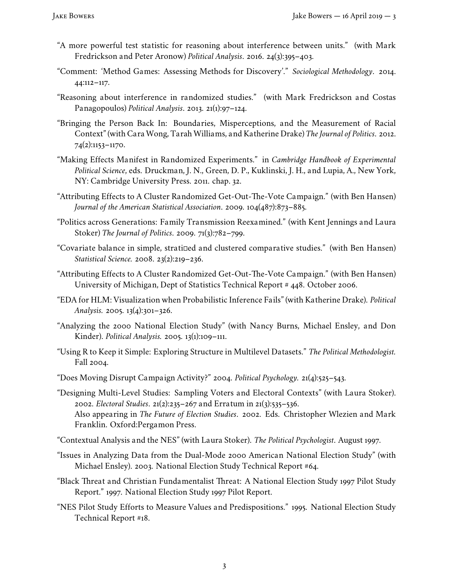- "A more powerful test statistic for reasoning about interference between units." (with Mark Fredrickson and Peter Aronow) *Political Analysis*. 2016. 24(3):395–403.
- "Comment: 'Method Games: Assessing Methods for Discovery'." *Sociological Methodology*. 2014. 44:112–117.
- "Reasoning about interference in randomized studies." (with Mark Fredrickson and Costas Panagopoulos) *Political Analysis*. 2013. 21(1):97–124.
- "Bringing the Person Back In: Boundaries, Misperceptions, and the Measurement of Racial Context" (with Cara Wong, Tarah Williams, and Katherine Drake) *The Journal of Politics*. 2012. 74(2):1153–1170.
- "Making Effects Manifest in Randomized Experiments." in *Cambridge Handbook of Experimental Political Science*, eds. Druckman, J. N., Green, D. P., Kuklinski, J. H., and Lupia, A., New York, NY: Cambridge University Press. 2011. chap. 32.
- "Attributing Effects to A Cluster Randomized Get-Out-The-Vote Campaign." (with Ben Hansen) *Journal of the American Statistical Association*. 2009. 104(487):873–885.
- "Politics across Generations: Family Transmission Reexamined." (with Kent Jennings and Laura Stoker) *The Journal of Politics*. 2009. 71(3):782–799.
- "Covariate balance in simple, strati¤ed and clustered comparative studies." (with Ben Hansen) *Statistical Science.* 2008. 23(2):219–236.
- "Attributing Effects to A Cluster Randomized Get-Out-The-Vote Campaign." (with Ben Hansen) University of Michigan, Dept of Statistics Technical Report # 448. October 2006.
- "EDA for HLM: Visualization when Probabilistic Inference Fails" (with Katherine Drake). *Political Analysis.* 2005. 13(4):301–326.
- "Analyzing the 2000 National Election Study" (with Nancy Burns, Michael Ensley, and Don Kinder). *Political Analysis.* 2005. 13(1):109–111.
- "Using R to Keep it Simple: Exploring Structure in Multilevel Datasets." *The Political Methodologist.* Fall 2004.
- "Does Moving Disrupt Campaign Activity?" 2004. *Political Psychology.* 21(4):525–543.
- "Designing Multi-Level Studies: Sampling Voters and Electoral Contexts" (with Laura Stoker). 2002. *Electoral Studies*. 21(2):235–267 and Erratum in 21(3):535–536. Also appearing in *The Future of Election Studies*. 2002. Eds. Christopher Wlezien and Mark Franklin. Oxford:Pergamon Press.
- "Contextual Analysis and the NES" (with Laura Stoker). *The Political Psychologist*. August 1997.
- "Issues in Analyzing Data from the Dual-Mode 2000 American National Election Study" (with Michael Ensley). 2003. National Election Study Technical Report #64.
- "Black Threat and Christian Fundamentalist Threat: A National Election Study 1997 Pilot Study Report." 1997. National Election Study 1997 Pilot Report.
- "NES Pilot Study Efforts to Measure Values and Predispositions." 1995. National Election Study Technical Report #18.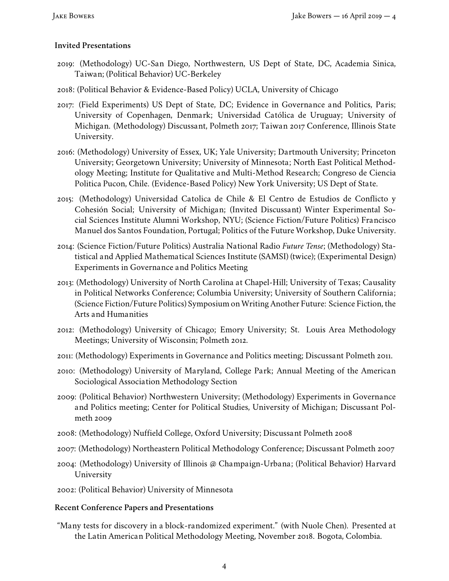# **Invited Presentations**

- 2019: (Methodology) UC-San Diego, Northwestern, US Dept of State, DC, Academia Sinica, Taiwan; (Political Behavior) UC-Berkeley
- 2018: (Political Behavior & Evidence-Based Policy) UCLA, University of Chicago
- 2017: (Field Experiments) US Dept of State, DC; Evidence in Governance and Politics, Paris; University of Copenhagen, Denmark; Universidad Católica de Uruguay; University of Michigan. (Methodology) Discussant, Polmeth 2017; Taiwan 2017 Conference, Illinois State University.
- 2016: (Methodology) University of Essex, UK; Yale University; Dartmouth University; Princeton University; Georgetown University; University of Minnesota; North East Political Methodology Meeting; Institute for Qualitative and Multi-Method Research; Congreso de Ciencia Politica Pucon, Chile. (Evidence-Based Policy) New York University; US Dept of State.
- 2015: (Methodology) Universidad Catolica de Chile & El Centro de Estudios de Conflicto y Cohesión Social; University of Michigan; (Invited Discussant) Winter Experimental Social Sciences Institute Alumni Workshop, NYU; (Science Fiction/Future Politics) Francisco Manuel dos Santos Foundation, Portugal; Politics of the Future Workshop, Duke University.
- 2014: (Science Fiction/Future Politics) Australia National Radio *Future Tense*; (Methodology) Statistical and Applied Mathematical Sciences Institute (SAMSI) (twice); (Experimental Design) Experiments in Governance and Politics Meeting
- 2013: (Methodology) University of North Carolina at Chapel-Hill; University of Texas; Causality in Political Networks Conference; Columbia University; University of Southern California; (Science Fiction/Future Politics) Symposium on Writing Another Future: Science Fiction, the Arts and Humanities
- 2012: (Methodology) University of Chicago; Emory University; St. Louis Area Methodology Meetings; University of Wisconsin; Polmeth 2012.
- 2011: (Methodology) Experiments in Governance and Politics meeting; Discussant Polmeth 2011.
- 2010: (Methodology) University of Maryland, College Park; Annual Meeting of the American Sociological Association Methodology Section
- 2009: (Political Behavior) Northwestern University; (Methodology) Experiments in Governance and Politics meeting; Center for Political Studies, University of Michigan; Discussant Polmeth 2009
- 2008: (Methodology) Nuffield College, Oxford University; Discussant Polmeth 2008
- 2007: (Methodology) Northeastern Political Methodology Conference; Discussant Polmeth 2007
- 2004: (Methodology) University of Illinois @ Champaign-Urbana; (Political Behavior) Harvard University
- 2002: (Political Behavior) University of Minnesota

## **Recent Conference Papers and Presentations**

"Many tests for discovery in a block-randomized experiment." (with Nuole Chen). Presented at the Latin American Political Methodology Meeting, November 2018. Bogota, Colombia.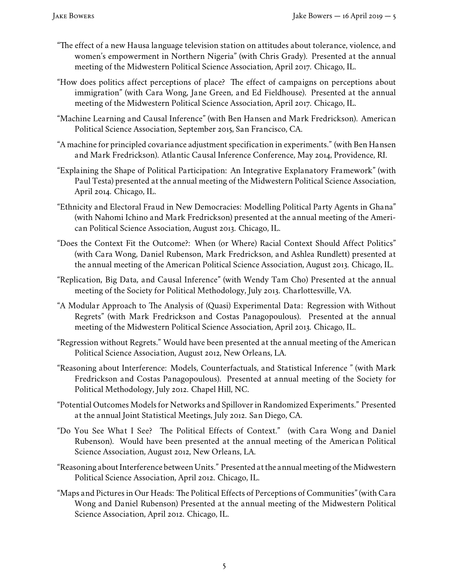- "The effect of a new Hausa language television station on attitudes about tolerance, violence, and women's empowerment in Northern Nigeria" (with Chris Grady). Presented at the annual meeting of the Midwestern Political Science Association, April 2017. Chicago, IL.
- "How does politics affect perceptions of place? The effect of campaigns on perceptions about immigration" (with Cara Wong, Jane Green, and Ed Fieldhouse). Presented at the annual meeting of the Midwestern Political Science Association, April 2017. Chicago, IL.
- "Machine Learning and Causal Inference" (with Ben Hansen and Mark Fredrickson). American Political Science Association, September 2015, San Francisco, CA.
- "A machine for principled covariance adjustment specification in experiments." (with Ben Hansen and Mark Fredrickson). Atlantic Causal Inference Conference, May 2014, Providence, RI.
- "Explaining the Shape of Political Participation: An Integrative Explanatory Framework" (with Paul Testa) presented at the annual meeting of the Midwestern Political Science Association, April 2014. Chicago, IL.
- "Ethnicity and Electoral Fraud in New Democracies: Modelling Political Party Agents in Ghana" (with Nahomi Ichino and Mark Fredrickson) presented at the annual meeting of the American Political Science Association, August 2013. Chicago, IL.
- "Does the Context Fit the Outcome?: When (or Where) Racial Context Should Affect Politics" (with Cara Wong, Daniel Rubenson, Mark Fredrickson, and Ashlea Rundlett) presented at the annual meeting of the American Political Science Association, August 2013. Chicago, IL.
- "Replication, Big Data, and Causal Inference" (with Wendy Tam Cho) Presented at the annual meeting of the Society for Political Methodology, July 2013. Charlottesville, VA.
- "A Modular Approach to The Analysis of (Quasi) Experimental Data: Regression with Without Regrets" (with Mark Fredrickson and Costas Panagopoulous). Presented at the annual meeting of the Midwestern Political Science Association, April 2013. Chicago, IL.
- "Regression without Regrets." Would have been presented at the annual meeting of the American Political Science Association, August 2012, New Orleans, LA.
- "Reasoning about Interference: Models, Counterfactuals, and Statistical Inference " (with Mark Fredrickson and Costas Panagopoulous). Presented at annual meeting of the Society for Political Methodology, July 2012. Chapel Hill, NC.
- "Potential Outcomes Models for Networks and Spillover in Randomized Experiments." Presented at the annual Joint Statistical Meetings, July 2012. San Diego, CA.
- "Do You See What I See? The Political Effects of Context." (with Cara Wong and Daniel Rubenson). Would have been presented at the annual meeting of the American Political Science Association, August 2012, New Orleans, LA.
- "Reasoning about Interference between Units." Presented at the annual meeting of theMidwestern Political Science Association, April 2012. Chicago, IL.
- "Maps and Pictures in Our Heads: The Political Effects of Perceptions of Communities" (with Cara Wong and Daniel Rubenson) Presented at the annual meeting of the Midwestern Political Science Association, April 2012. Chicago, IL.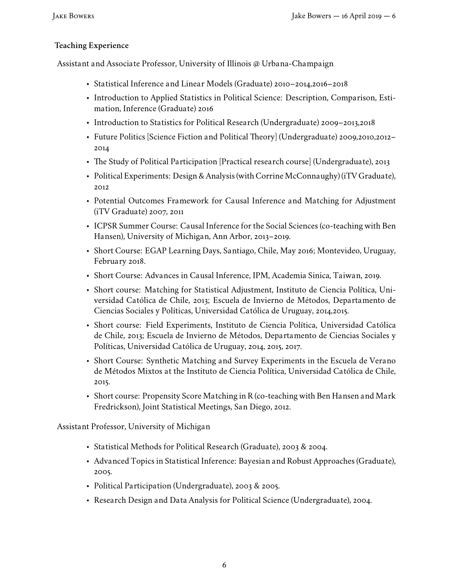# **Teaching Experience**

Assistant and Associate Professor, University of Illinois @ Urbana-Champaign

- Statistical Inference and Linear Models (Graduate) 2010–2014,2016–2018
- Introduction to Applied Statistics in Political Science: Description, Comparison, Estimation, Inference (Graduate) 2016
- Introduction to Statistics for Political Research (Undergraduate) 2009–2013,2018
- Future Politics [Science Fiction and Political Theory] (Undergraduate) 2009,2010,2012– 2014
- The Study of Political Participation [Practical research course] (Undergraduate), 2013
- Political Experiments: Design & Analysis (with Corrine McConnaughy) (iTV Graduate), 2012
- Potential Outcomes Framework for Causal Inference and Matching for Adjustment (iTV Graduate) 2007, 2011
- ICPSR Summer Course: Causal Inference for the Social Sciences (co-teaching with Ben Hansen), University of Michigan, Ann Arbor, 2013–2019.
- Short Course: [EGAP Learning Days,](http://egap.org/content/egap-learning-days-4) Santiago, Chile, May 2016; Montevideo, Uruguay, February 2018.
- Short Course: Advances in Causal Inference, IPM, Academia Sinica, Taiwan, 2019.
- Short course: Matching for Statistical Adjustment, Instituto de Ciencia Política, Universidad Católica de Chile, 2013; Escuela de Invierno de Métodos, Departamento de Ciencias Sociales y Políticas, Universidad Católica de Uruguay, 2014,2015.
- Short course: Field Experiments, Instituto de Ciencia Política, Universidad Católica de Chile, 2013; Escuela de Invierno de Métodos, Departamento de Ciencias Sociales y Políticas, Universidad Católica de Uruguay, 2014, 2015, 2017.
- Short Course: Synthetic Matching and Survey Experiments in the Escuela de Verano de Métodos Mixtos at the Instituto de Ciencia Política, Universidad Católica de Chile, 2015.
- Short course: Propensity Score Matching in R (co-teaching with Ben Hansen and Mark Fredrickson), Joint Statistical Meetings, San Diego, 2012.

Assistant Professor, University of Michigan

- Statistical Methods for Political Research (Graduate), 2003 & 2004.
- Advanced Topics in Statistical Inference: Bayesian and Robust Approaches (Graduate), 2005.
- Political Participation (Undergraduate), 2003 & 2005.
- Research Design and Data Analysis for Political Science (Undergraduate), 2004.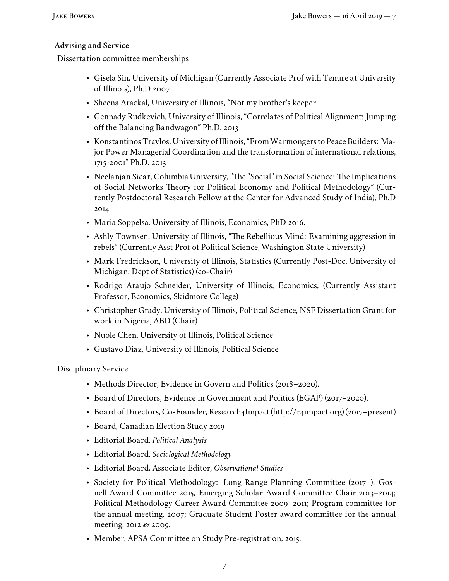# **Advising and Service**

Dissertation committee memberships

- Gisela Sin, University of Michigan (Currently Associate Prof with Tenure at University of Illinois), Ph.D 2007
- Sheena Arackal, University of Illinois, "Not my brother's keeper:
- Gennady Rudkevich, University of Illinois, "Correlates of Political Alignment: Jumping off the Balancing Bandwagon" Ph.D. 2013
- Konstantinos Travlos, University of Illinois, "FromWarmongers to Peace Builders: Major Power Managerial Coordination and the transformation of international relations, 1715-2001" Ph.D. 2013
- Neelanjan Sicar, Columbia University, "The "Social" in Social Science: The Implications of Social Networks Theory for Political Economy and Political Methodology" (Currently Postdoctoral Research Fellow at the Center for Advanced Study of India), Ph.D 2014
- Maria Soppelsa, University of Illinois, Economics, PhD 2016.
- Ashly Townsen, University of Illinois, "The Rebellious Mind: Examining aggression in rebels" (Currently Asst Prof of Political Science, Washington State University)
- Mark Fredrickson, University of Illinois, Statistics (Currently Post-Doc, University of Michigan, Dept of Statistics) (co-Chair)
- Rodrigo Araujo Schneider, University of Illinois, Economics, (Currently Assistant Professor, Economics, Skidmore College)
- Christopher Grady, University of Illinois, Political Science, NSF Dissertation Grant for work in Nigeria, ABD (Chair)
- Nuole Chen, University of Illinois, Political Science
- Gustavo Diaz, University of Illinois, Political Science

Disciplinary Service

- Methods Director, Evidence in Govern and Politics (2018–2020).
- Board of Directors, Evidence in Government and Politics (EGAP) (2017–2020).
- Board of Directors, Co-Founder, Research4Impact (http://r4impact.org) (2017–present)
- Board, Canadian Election Study 2019
- Editorial Board, *Political Analysis*
- Editorial Board, *Sociological Methodology*
- Editorial Board, Associate Editor, *Observational Studies*
- Society for Political Methodology: Long Range Planning Committee (2017–), Gosnell Award Committee 2015, Emerging Scholar Award Committee Chair 2013–2014; Political Methodology Career Award Committee 2009–2011; Program committee for the annual meeting, 2007; Graduate Student Poster award committee for the annual meeting, 2012 *&* 2009.
- Member, APSA Committee on Study Pre-registration, 2015.